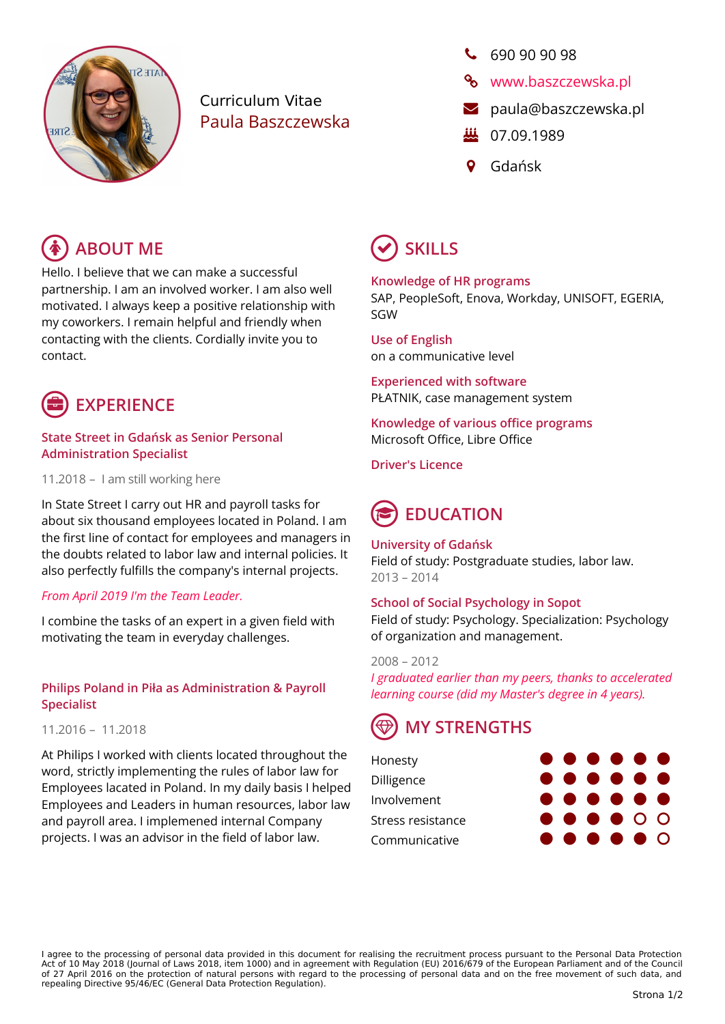

# Curriculum Vitae Paula Baszczewska

# $690909098$

- **%** [www.baszczewska.pl](https://baszczewska.pl/)
- **2** [paula@baszczewska.pl](mailto:paula@baszczewska.pl)
- **纵** 07.09.1989
- Gdańsk

# **ABOUT ME**  $(\checkmark)$  SKILLS

Hello. I believe that we can make a successful partnership. I am an involved worker. I am also well motivated. I always keep a positive relationship with my coworkers. I remain helpful and friendly when contacting with the clients. Cordially invite you to contact.



### **State Street in Gdańsk as Senior Personal Administration Specialist**

11.2018 – I am still working here

In State Street I carry out HR and payroll tasks for about six thousand employees located in Poland. I am the first line of contact for employees and managers in the doubts related to labor law and internal policies. It also perfectly fulfills the company's internal projects.

# *From April 2019 I'm the Team Leader.*

I combine the tasks of an expert in a given field with motivating the team in everyday challenges.

# **Philips Poland in Piła as Administration & Payroll Specialist**

11.2016 – 11.2018

At Philips I worked with clients located throughout the word, strictly implementing the rules of labor law for Employees lacated in Poland. In my daily basis I helped Employees and Leaders in human resources, labor law and payroll area. I implemened internal Company projects. I was an advisor in the field of labor law.

# **Knowledge of HR programs**

SAP, PeopleSoft, Enova, Workday, UNISOFT, EGERIA, SGW

#### **Use of English** on a communicative level

**Experienced with software** PŁATNIK, case management system

**Knowledge of various office programs** Microsoft Office, Libre Office

**Driver's Licence**

# **EDUCATION**

# **University of Gdańsk**

Field of study: Postgraduate studies, labor law. 2013 – 2014

# **School of Social Psychology in Sopot**

Field of study: Psychology. Specialization: Psychology of organization and management.

2008 – 2012 *I graduated earlier than my peers, thanks to accelerated learning course (did my Master's degree in 4 years).*

# **MY STRENGTHS**

| Honesty           |  | $\bullet\bullet\bullet\bullet\bullet\bullet$                                                                   |  |
|-------------------|--|----------------------------------------------------------------------------------------------------------------|--|
| Dilligence        |  | $\bullet\bullet\bullet\bullet\bullet\bullet$                                                                   |  |
| Involvement       |  | $\bullet\bullet\bullet\bullet\bullet\bullet$                                                                   |  |
| Stress resistance |  | $\begin{array}{ccccccccccccccccc} \bullet & \bullet & \bullet & \bullet & \bullet & \circ & \circ \end{array}$ |  |
| Communicative     |  | $\bullet\bullet\bullet\bullet\bullet\circ$                                                                     |  |

I agree to the processing of personal data provided in this document for realising the recruitment process pursuant to the Personal Data Protection Act of 10 May 2018 (Journal of Laws 2018, item 1000) and in agreement with Regulation (EU) 2016/679 of the European Parliament and of the Council of 27 April 2016 on the protection of natural persons with regard to the processing of personal data and on the free movement of such data, and repealing Directive 95/46/EC (General Data Protection Regulation).